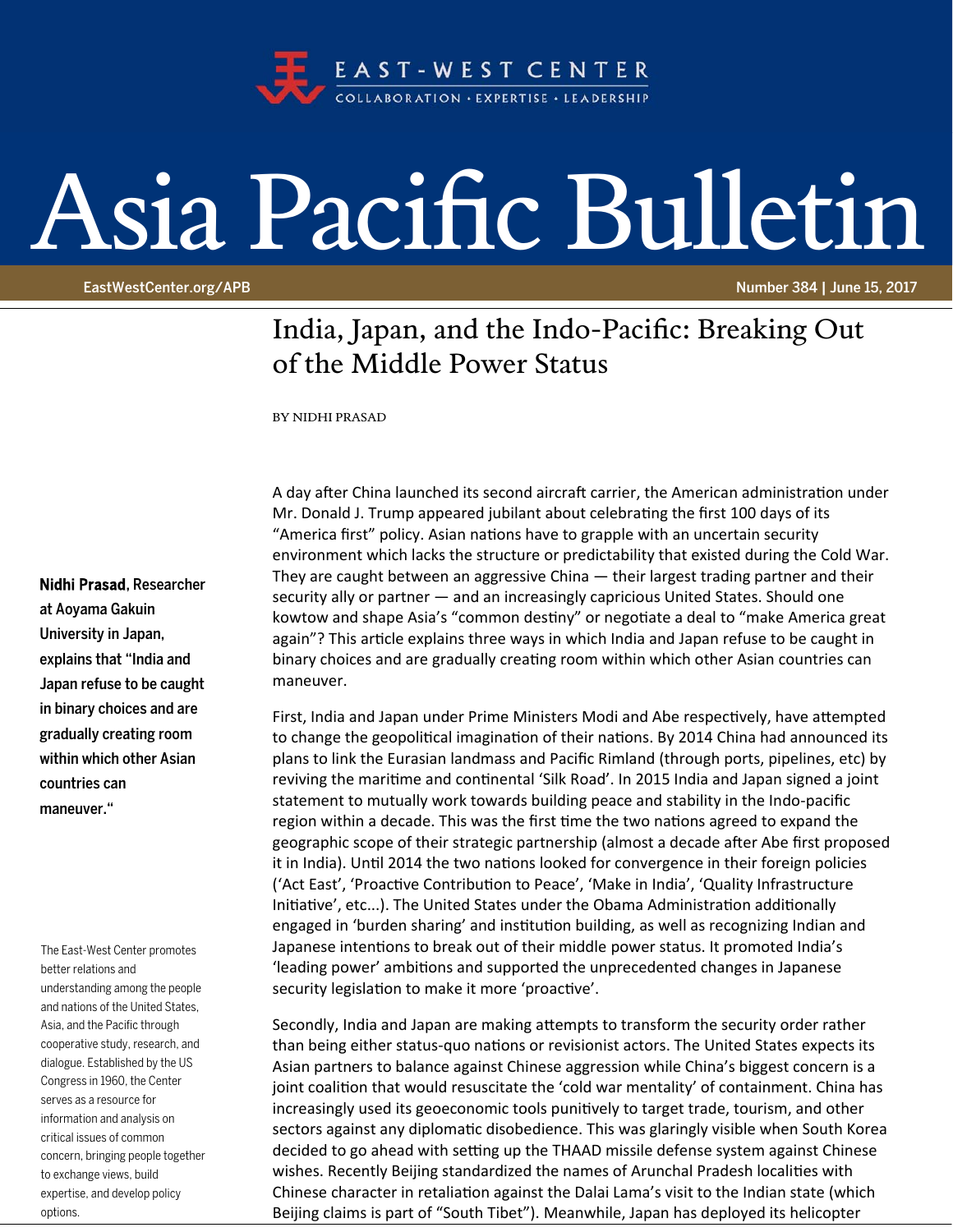

## Asia Pacific Bulletin

EastWestCenter.org/APB Number 384 | June 15, 2017

## India, Japan, and the Indo-Pacific: Breaking Out of the Middle Power Status

BY NIDHI PRASAD

## Nidhi Prasad, Researcher

at Aoyama Gakuin University in Japan, explains that "India and Japan refuse to be caught in binary choices and are gradually creating room within which other Asian countries can maneuver."

The East-West Center promotes better relations and understanding among the people and nations of the United States, Asia, and the Pacific through cooperative study, research, and dialogue. Established by the US Congress in 1960, the Center serves as a resource for information and analysis on critical issues of common concern, bringing people together to exchange views, build expertise, and develop policy options.

A day after China launched its second aircraft carrier, the American administration under Mr. Donald J. Trump appeared jubilant about celebrating the first 100 days of its "America first" policy. Asian nations have to grapple with an uncertain security environment which lacks the structure or predictability that existed during the Cold War. They are caught between an aggressive China — their largest trading partner and their security ally or partner — and an increasingly capricious United States. Should one kowtow and shape Asia's "common destiny" or negotiate a deal to "make America great again"? This article explains three ways in which India and Japan refuse to be caught in binary choices and are gradually creating room within which other Asian countries can maneuver.

First, India and Japan under Prime Ministers Modi and Abe respectively, have attempted to change the geopolitical imagination of their nations. By 2014 China had announced its plans to link the Eurasian landmass and Pacific Rimland (through ports, pipelines, etc) by reviving the maritime and continental 'Silk Road'. In 2015 India and Japan signed a joint statement to mutually work towards building peace and stability in the Indo‐pacific region within a decade. This was the first time the two nations agreed to expand the geographic scope of their strategic partnership (almost a decade after Abe first proposed it in India). Until 2014 the two nations looked for convergence in their foreign policies ('Act East', 'Proactive Contribution to Peace', 'Make in India', 'Quality Infrastructure Initiative', etc...). The United States under the Obama Administration additionally engaged in 'burden sharing' and institution building, as well as recognizing Indian and Japanese intentions to break out of their middle power status. It promoted India's 'leading power' ambitions and supported the unprecedented changes in Japanese security legislation to make it more 'proactive'.

Secondly, India and Japan are making attempts to transform the security order rather than being either status-quo nations or revisionist actors. The United States expects its Asian partners to balance against Chinese aggression while China's biggest concern is a joint coalition that would resuscitate the 'cold war mentality' of containment. China has increasingly used its geoeconomic tools punitively to target trade, tourism, and other sectors against any diplomatic disobedience. This was glaringly visible when South Korea decided to go ahead with setting up the THAAD missile defense system against Chinese wishes. Recently Beijing standardized the names of Arunchal Pradesh localities with Chinese character in retaliation against the Dalai Lama's visit to the Indian state (which Beijing claims is part of "South Tibet"). Meanwhile, Japan has deployed its helicopter